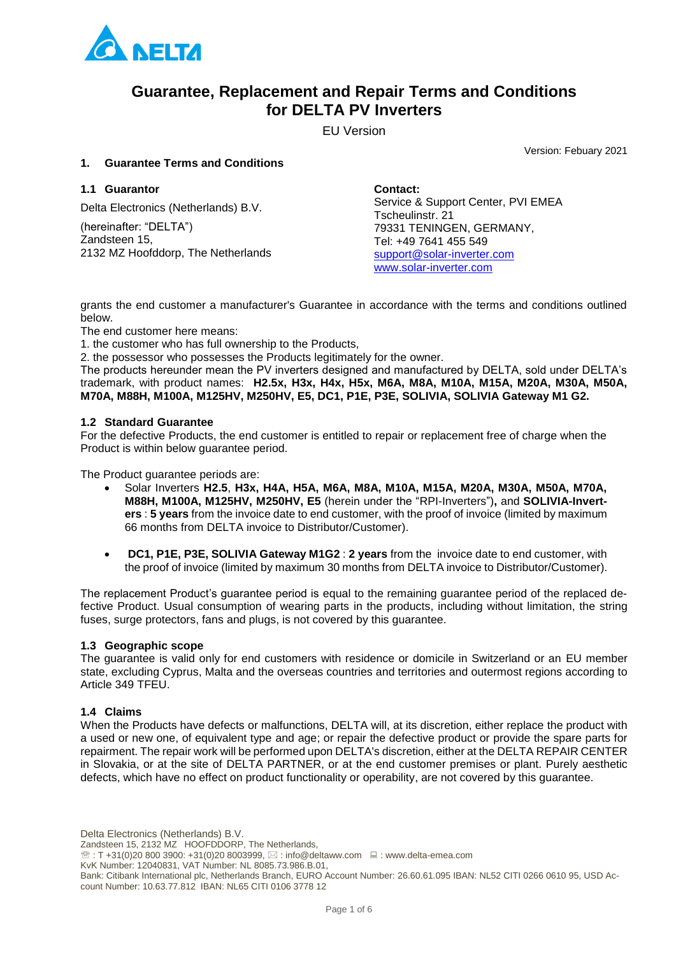

## **Guarantee, Replacement and Repair Terms and Conditions for DELTA PV Inverters**

EU Version

Version: Febuary 2021

## **1. Guarantee Terms and Conditions**

## **1.1 Guarantor**

Delta Electronics (Netherlands) B.V.

(hereinafter: "DELTA") Zandsteen 15, 2132 MZ Hoofddorp, The Netherlands **Contact:** Service & Support Center, PVI EMEA Tscheulinstr. 21 79331 TENINGEN, GERMANY, Tel: +49 7641 455 549 [support@solar-inverter.com](mailto:support@solar-inverter.com) [www.solar-inverter.com](http://www.solar-inverter.com/)

grants the end customer a manufacturer's Guarantee in accordance with the terms and conditions outlined below.

The end customer here means:

1. the customer who has full ownership to the Products,

2. the possessor who possesses the Products legitimately for the owner.

The products hereunder mean the PV inverters designed and manufactured by DELTA, sold under DELTA's trademark, with product names: **H2.5x, H3x, H4x, H5x, M6A, M8A, M10A, M15A, M20A, M30A, M50A, M70A, M88H, M100A, M125HV, M250HV, E5, DC1, P1E, P3E, SOLIVIA, SOLIVIA Gateway M1 G2.**

#### **1.2 Standard Guarantee**

For the defective Products, the end customer is entitled to repair or replacement free of charge when the Product is within below guarantee period.

The Product guarantee periods are:

- Solar Inverters **H2.5**, **H3x, H4A, H5A, M6A, M8A, M10A, M15A, M20A, M30A, M50A, M70A, M88H, M100A, M125HV, M250HV, E5** (herein under the "RPI-Inverters")**,** and **SOLIVIA-Inverters** : **5 years** from the invoice date to end customer, with the proof of invoice (limited by maximum 66 months from DELTA invoice to Distributor/Customer).
- **DC1, P1E, P3E, SOLIVIA Gateway M1G2** : **2 years** from the invoice date to end customer, with the proof of invoice (limited by maximum 30 months from DELTA invoice to Distributor/Customer).

The replacement Product's guarantee period is equal to the remaining guarantee period of the replaced defective Product. Usual consumption of wearing parts in the products, including without limitation, the string fuses, surge protectors, fans and plugs, is not covered by this guarantee.

#### **1.3 Geographic scope**

The guarantee is valid only for end customers with residence or domicile in Switzerland or an EU member state, excluding Cyprus, Malta and the overseas countries and territories and outermost regions according to Article 349 TFEU.

## **1.4 Claims**

When the Products have defects or malfunctions, DELTA will, at its discretion, either replace the product with a used or new one, of equivalent type and age; or repair the defective product or provide the spare parts for repairment. The repair work will be performed upon DELTA's discretion, either at the DELTA REPAIR CENTER in Slovakia, or at the site of DELTA PARTNER, or at the end customer premises or plant. Purely aesthetic defects, which have no effect on product functionality or operability, are not covered by this guarantee.

Delta Electronics (Netherlands) B.V.

Zandsteen 15, 2132 MZ HOOFDDORP, The Netherlands,

 $\mathcal{B}: T + 31(0)20 800 3900: +31(0)20 8003999, \boxtimes: \text{info@deltaww.com } \square: \text{www.delta-emea.com}$ 

KvK Number: 12040831, VAT Number: NL 8085.73.986.B.01,

Bank: Citibank International plc, Netherlands Branch, EURO Account Number: 26.60.61.095 IBAN: NL52 CITI 0266 0610 95, USD Account Number: 10.63.77.812 IBAN: NL65 CITI 0106 3778 12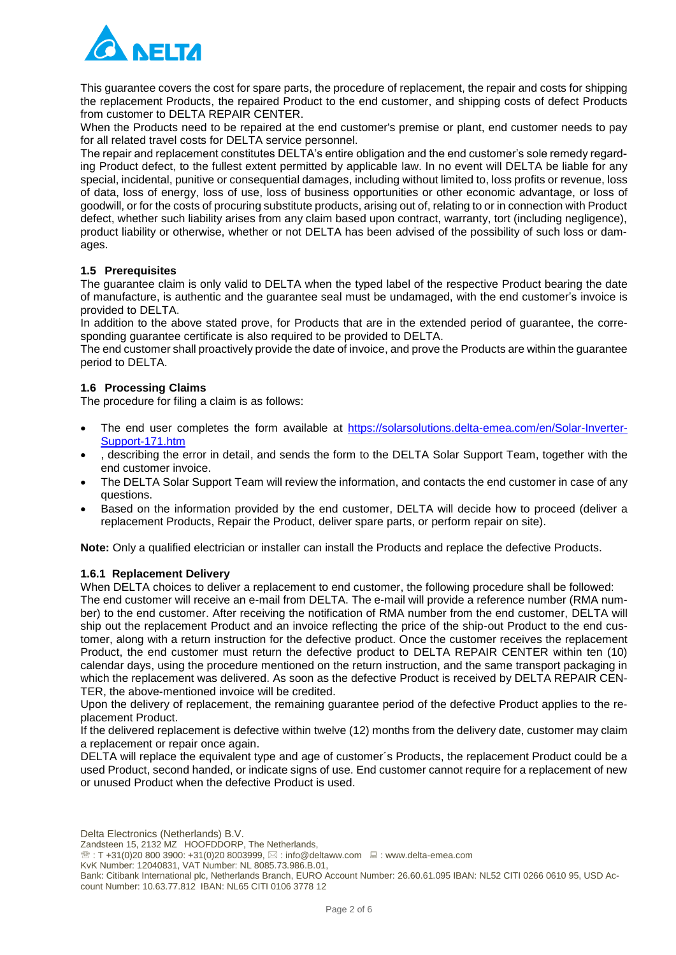

This guarantee covers the cost for spare parts, the procedure of replacement, the repair and costs for shipping the replacement Products, the repaired Product to the end customer, and shipping costs of defect Products from customer to DELTA REPAIR CENTER.

When the Products need to be repaired at the end customer's premise or plant, end customer needs to pay for all related travel costs for DELTA service personnel.

The repair and replacement constitutes DELTA's entire obligation and the end customer's sole remedy regarding Product defect, to the fullest extent permitted by applicable law. In no event will DELTA be liable for any special, incidental, punitive or consequential damages, including without limited to, loss profits or revenue, loss of data, loss of energy, loss of use, loss of business opportunities or other economic advantage, or loss of goodwill, or for the costs of procuring substitute products, arising out of, relating to or in connection with Product defect, whether such liability arises from any claim based upon contract, warranty, tort (including negligence), product liability or otherwise, whether or not DELTA has been advised of the possibility of such loss or damages.

#### **1.5 Prerequisites**

The guarantee claim is only valid to DELTA when the typed label of the respective Product bearing the date of manufacture, is authentic and the guarantee seal must be undamaged, with the end customer's invoice is provided to DELTA.

In addition to the above stated prove, for Products that are in the extended period of guarantee, the corresponding guarantee certificate is also required to be provided to DELTA.

The end customer shall proactively provide the date of invoice, and prove the Products are within the guarantee period to DELTA.

#### **1.6 Processing Claims**

The procedure for filing a claim is as follows:

- The end user completes the form available at [https://solarsolutions.delta-emea.com/en/Solar-Inverter-](https://solarsolutions.delta-emea.com/en/Solar-Inverter-Support-171.htm)[Support-171.htm](https://solarsolutions.delta-emea.com/en/Solar-Inverter-Support-171.htm)
- , describing the error in detail, and sends the form to the DELTA Solar Support Team, together with the end customer invoice.
- The DELTA Solar Support Team will review the information, and contacts the end customer in case of any questions.
- Based on the information provided by the end customer, DELTA will decide how to proceed (deliver a replacement Products, Repair the Product, deliver spare parts, or perform repair on site).

**Note:** Only a qualified electrician or installer can install the Products and replace the defective Products.

#### **1.6.1 Replacement Delivery**

When DELTA choices to deliver a replacement to end customer, the following procedure shall be followed: The end customer will receive an e-mail from DELTA. The e-mail will provide a reference number (RMA number) to the end customer. After receiving the notification of RMA number from the end customer, DELTA will ship out the replacement Product and an invoice reflecting the price of the ship-out Product to the end customer, along with a return instruction for the defective product. Once the customer receives the replacement Product, the end customer must return the defective product to DELTA REPAIR CENTER within ten (10) calendar days, using the procedure mentioned on the return instruction, and the same transport packaging in which the replacement was delivered. As soon as the defective Product is received by DELTA REPAIR CEN-TER, the above-mentioned invoice will be credited.

Upon the delivery of replacement, the remaining guarantee period of the defective Product applies to the replacement Product.

If the delivered replacement is defective within twelve (12) months from the delivery date, customer may claim a replacement or repair once again.

DELTA will replace the equivalent type and age of customer´s Products, the replacement Product could be a used Product, second handed, or indicate signs of use. End customer cannot require for a replacement of new or unused Product when the defective Product is used.

- Zandsteen 15, 2132 MZ HOOFDDORP, The Netherlands,
- $\mathcal{E}: T + 31(0)20 800 3900: +31(0)20 8003999, \boxtimes: \text{info@deltaww.com } \square: \text{www.delta-emea.com}$

KvK Number: 12040831, VAT Number: NL 8085.73.986.B.01,

Bank: Citibank International plc, Netherlands Branch, EURO Account Number: 26.60.61.095 IBAN: NL52 CITI 0266 0610 95, USD Account Number: 10.63.77.812 IBAN: NL65 CITI 0106 3778 12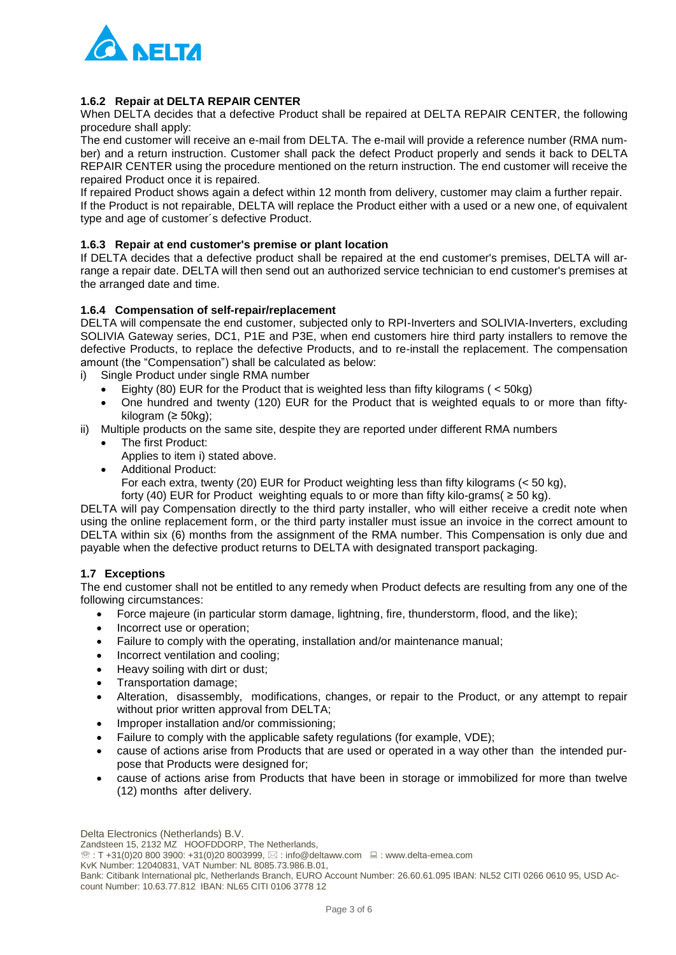

## **1.6.2 Repair at DELTA REPAIR CENTER**

When DELTA decides that a defective Product shall be repaired at DELTA REPAIR CENTER, the following procedure shall apply:

The end customer will receive an e-mail from DELTA. The e-mail will provide a reference number (RMA number) and a return instruction. Customer shall pack the defect Product properly and sends it back to DELTA REPAIR CENTER using the procedure mentioned on the return instruction. The end customer will receive the repaired Product once it is repaired.

If repaired Product shows again a defect within 12 month from delivery, customer may claim a further repair. If the Product is not repairable, DELTA will replace the Product either with a used or a new one, of equivalent type and age of customer´s defective Product.

#### **1.6.3 Repair at end customer's premise or plant location**

If DELTA decides that a defective product shall be repaired at the end customer's premises, DELTA will arrange a repair date. DELTA will then send out an authorized service technician to end customer's premises at the arranged date and time.

#### **1.6.4 Compensation of self-repair/replacement**

DELTA will compensate the end customer, subjected only to RPI-Inverters and SOLIVIA-Inverters, excluding SOLIVIA Gateway series, DC1, P1E and P3E, when end customers hire third party installers to remove the defective Products, to replace the defective Products, and to re-install the replacement. The compensation amount (the "Compensation") shall be calculated as below:

- i) Single Product under single RMA number
	- Eighty (80) EUR for the Product that is weighted less than fifty kilograms ( < 50kg)
	- One hundred and twenty (120) EUR for the Product that is weighted equals to or more than fiftykilogram (≥ 50kg);
- ii) Multiple products on the same site, despite they are reported under different RMA numbers
	- The first Product:
		- Applies to item i) stated above.
	- Additional Product:
		- For each extra, twenty (20) EUR for Product weighting less than fifty kilograms (< 50 kg),
		- forty (40) EUR for Product weighting equals to or more than fifty kilo-grams( $\geq 50$  kg).

DELTA will pay Compensation directly to the third party installer, who will either receive a credit note when using the online replacement form, or the third party installer must issue an invoice in the correct amount to DELTA within six (6) months from the assignment of the RMA number. This Compensation is only due and payable when the defective product returns to DELTA with designated transport packaging.

#### **1.7 Exceptions**

The end customer shall not be entitled to any remedy when Product defects are resulting from any one of the following circumstances:

- Force majeure (in particular storm damage, lightning, fire, thunderstorm, flood, and the like);
- Incorrect use or operation;
- Failure to comply with the operating, installation and/or maintenance manual;
- Incorrect ventilation and cooling;
- Heavy soiling with dirt or dust;
- Transportation damage;
- Alteration, disassembly, modifications, changes, or repair to the Product, or any attempt to repair without prior written approval from DELTA;
- Improper installation and/or commissioning;
- Failure to comply with the applicable safety regulations (for example, VDE);
- cause of actions arise from Products that are used or operated in a way other than the intended purpose that Products were designed for;
- cause of actions arise from Products that have been in storage or immobilized for more than twelve (12) months after delivery.

KvK Number: 12040831, VAT Number: NL 8085.73.986.B.01,

Delta Electronics (Netherlands) B.V.

Zandsteen 15, 2132 MZ HOOFDDORP, The Netherlands,

 $\mathcal{E}: T + 31(0)20 800 3900: +31(0)20 8003999, \boxtimes: \text{info@deltaww.com } \square: \text{www.delta-emea.com}$ 

Bank: Citibank International plc, Netherlands Branch, EURO Account Number: 26.60.61.095 IBAN: NL52 CITI 0266 0610 95, USD Account Number: 10.63.77.812 IBAN: NL65 CITI 0106 3778 12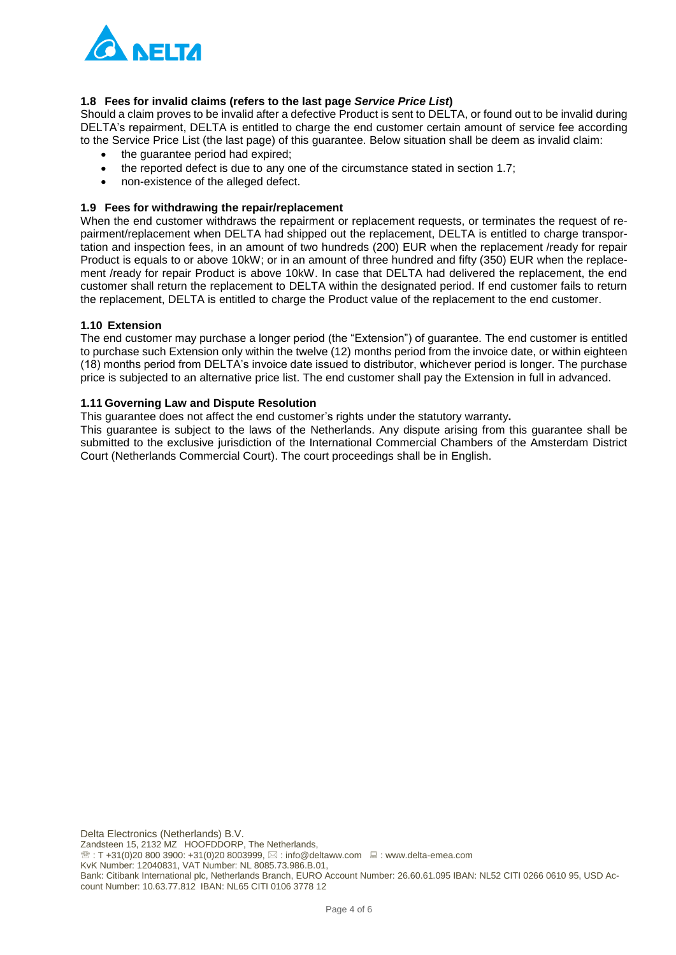

## **1.8 Fees for invalid claims (refers to the last page** *Service Price List***)**

Should a claim proves to be invalid after a defective Product is sent to DELTA, or found out to be invalid during DELTA's repairment, DELTA is entitled to charge the end customer certain amount of service fee according to the Service Price List (the last page) of this guarantee. Below situation shall be deem as invalid claim:

- the guarantee period had expired;
- the reported defect is due to any one of the circumstance stated in section 1.7;
- non-existence of the alleged defect.

#### **1.9 Fees for withdrawing the repair/replacement**

When the end customer withdraws the repairment or replacement requests, or terminates the request of repairment/replacement when DELTA had shipped out the replacement, DELTA is entitled to charge transportation and inspection fees, in an amount of two hundreds (200) EUR when the replacement /ready for repair Product is equals to or above 10kW; or in an amount of three hundred and fifty (350) EUR when the replacement /ready for repair Product is above 10kW. In case that DELTA had delivered the replacement, the end customer shall return the replacement to DELTA within the designated period. If end customer fails to return the replacement, DELTA is entitled to charge the Product value of the replacement to the end customer.

#### **1.10 Extension**

The end customer may purchase a longer period (the "Extension") of guarantee. The end customer is entitled to purchase such Extension only within the twelve (12) months period from the invoice date, or within eighteen (18) months period from DELTA's invoice date issued to distributor, whichever period is longer. The purchase price is subjected to an alternative price list. The end customer shall pay the Extension in full in advanced.

## **1.11 Governing Law and Dispute Resolution**

This guarantee does not affect the end customer's rights under the statutory warranty**.** 

This guarantee is subject to the laws of the Netherlands. Any dispute arising from this guarantee shall be submitted to the exclusive jurisdiction of the International Commercial Chambers of the Amsterdam District Court (Netherlands Commercial Court). The court proceedings shall be in English.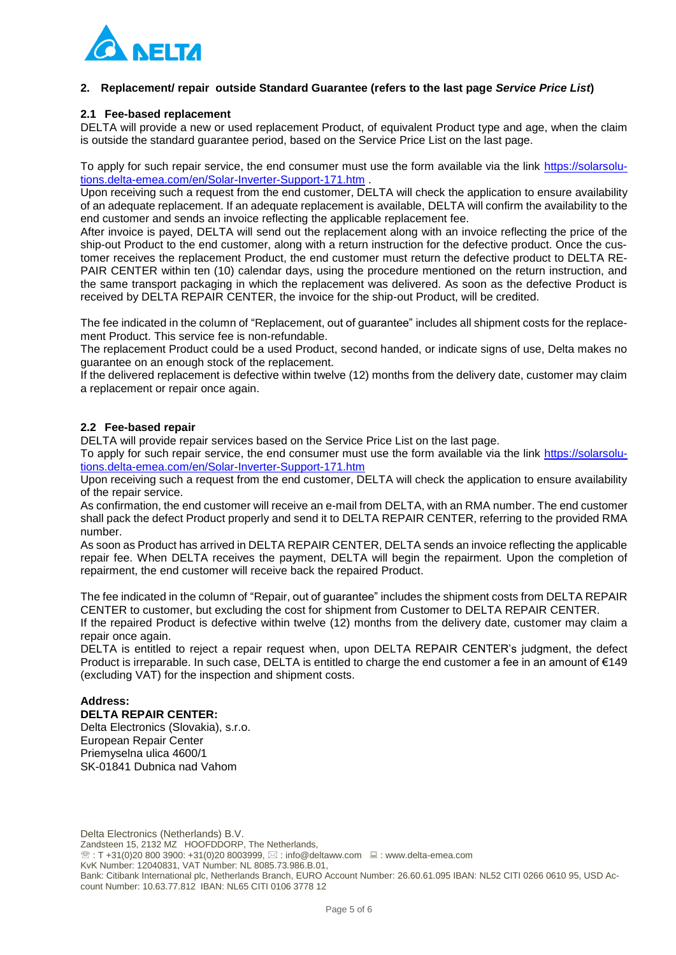

### **2. Replacement/ repair outside Standard Guarantee (refers to the last page** *Service Price List***)**

#### **2.1 Fee-based replacement**

DELTA will provide a new or used replacement Product, of equivalent Product type and age, when the claim is outside the standard guarantee period, based on the Service Price List on the last page.

To apply for such repair service, the end consumer must use the form available via the link [https://solarsolu](https://solarsolutions.delta-emea.com/en/Solar-Inverter-Support-171.htm)[tions.delta-emea.com/en/Solar-Inverter-Support-171.htm](https://solarsolutions.delta-emea.com/en/Solar-Inverter-Support-171.htm) .

Upon receiving such a request from the end customer, DELTA will check the application to ensure availability of an adequate replacement. If an adequate replacement is available, DELTA will confirm the availability to the end customer and sends an invoice reflecting the applicable replacement fee.

After invoice is payed, DELTA will send out the replacement along with an invoice reflecting the price of the ship-out Product to the end customer, along with a return instruction for the defective product. Once the customer receives the replacement Product, the end customer must return the defective product to DELTA RE-PAIR CENTER within ten (10) calendar days, using the procedure mentioned on the return instruction, and the same transport packaging in which the replacement was delivered. As soon as the defective Product is received by DELTA REPAIR CENTER, the invoice for the ship-out Product, will be credited.

The fee indicated in the column of "Replacement, out of guarantee" includes all shipment costs for the replacement Product. This service fee is non-refundable.

The replacement Product could be a used Product, second handed, or indicate signs of use, Delta makes no guarantee on an enough stock of the replacement.

If the delivered replacement is defective within twelve (12) months from the delivery date, customer may claim a replacement or repair once again.

#### **2.2 Fee-based repair**

DELTA will provide repair services based on the Service Price List on the last page.

To apply for such repair service, the end consumer must use the form available via the link [https://solarsolu](https://solarsolutions.delta-emea.com/en/Solar-Inverter-Support-171.htm)[tions.delta-emea.com/en/Solar-Inverter-Support-171.htm](https://solarsolutions.delta-emea.com/en/Solar-Inverter-Support-171.htm)

Upon receiving such a request from the end customer, DELTA will check the application to ensure availability of the repair service.

As confirmation, the end customer will receive an e-mail from DELTA, with an RMA number. The end customer shall pack the defect Product properly and send it to DELTA REPAIR CENTER, referring to the provided RMA number.

As soon as Product has arrived in DELTA REPAIR CENTER, DELTA sends an invoice reflecting the applicable repair fee. When DELTA receives the payment, DELTA will begin the repairment. Upon the completion of repairment, the end customer will receive back the repaired Product.

The fee indicated in the column of "Repair, out of guarantee" includes the shipment costs from DELTA REPAIR CENTER to customer, but excluding the cost for shipment from Customer to DELTA REPAIR CENTER.

If the repaired Product is defective within twelve (12) months from the delivery date, customer may claim a repair once again.

DELTA is entitled to reject a repair request when, upon DELTA REPAIR CENTER's judgment, the defect Product is irreparable. In such case, DELTA is entitled to charge the end customer a fee in an amount of €149 (excluding VAT) for the inspection and shipment costs.

#### **Address: DELTA REPAIR CENTER:**

Delta Electronics (Slovakia), s.r.o. European Repair Center Priemyselna ulica 4600/1 SK-01841 Dubnica nad Vahom

Delta Electronics (Netherlands) B.V. Zandsteen 15, 2132 MZ HOOFDDORP, The Netherlands,  $\mathcal{E}: T + 31(0)20 800 3900: +31(0)20 8003999, \boxtimes: \text{info@deltaww.com } \square: \text{www.delta-emea.com}$ KvK Number: 12040831, VAT Number: NL 8085.73.986.B.01, Bank: Citibank International plc, Netherlands Branch, EURO Account Number: 26.60.61.095 IBAN: NL52 CITI 0266 0610 95, USD Account Number: 10.63.77.812 IBAN: NL65 CITI 0106 3778 12